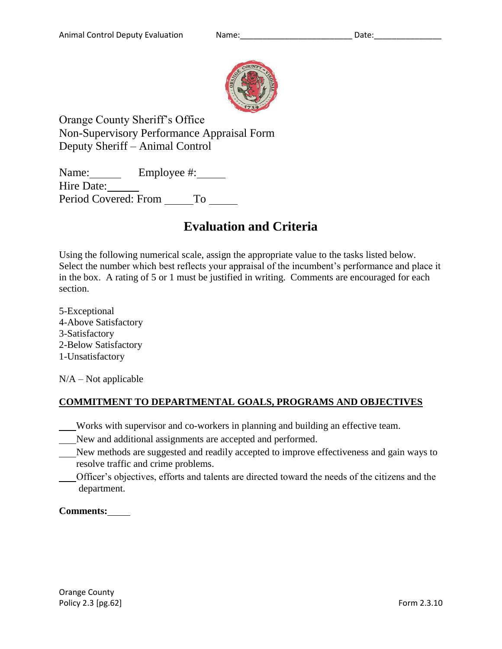

Orange County Sheriff's Office Non-Supervisory Performance Appraisal Form Deputy Sheriff – Animal Control

Name: Employee #: Hire Date: Period Covered: From \_ To

# **Evaluation and Criteria**

Using the following numerical scale, assign the appropriate value to the tasks listed below. Select the number which best reflects your appraisal of the incumbent's performance and place it in the box. A rating of 5 or 1 must be justified in writing. Comments are encouraged for each section.

5-Exceptional 4-Above Satisfactory 3-Satisfactory 2-Below Satisfactory 1-Unsatisfactory

 $N/A - Not$  applicable

# **COMMITMENT TO DEPARTMENTAL GOALS, PROGRAMS AND OBJECTIVES**

- Works with supervisor and co-workers in planning and building an effective team.
- New and additional assignments are accepted and performed.
- New methods are suggested and readily accepted to improve effectiveness and gain ways to resolve traffic and crime problems.
- Officer's objectives, efforts and talents are directed toward the needs of the citizens and the department.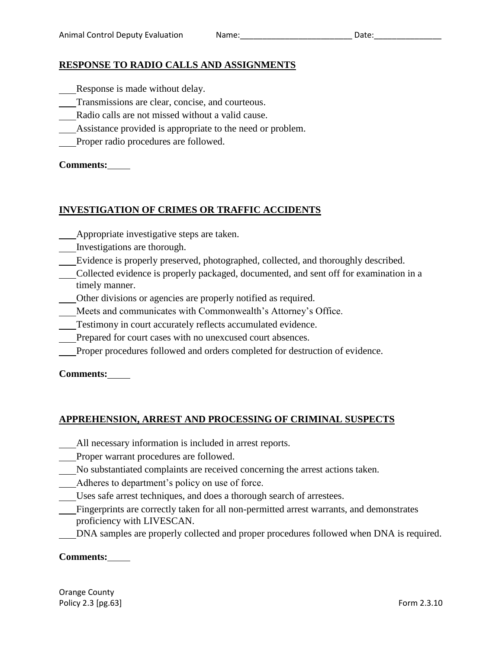## **RESPONSE TO RADIO CALLS AND ASSIGNMENTS**

- Response is made without delay.
- Transmissions are clear, concise, and courteous.
- Radio calls are not missed without a valid cause.
- Assistance provided is appropriate to the need or problem.
- Proper radio procedures are followed.

## **Comments:**

## **INVESTIGATION OF CRIMES OR TRAFFIC ACCIDENTS**

- Appropriate investigative steps are taken.
- Investigations are thorough.
- Evidence is properly preserved, photographed, collected, and thoroughly described.
- Collected evidence is properly packaged, documented, and sent off for examination in a timely manner.
- Other divisions or agencies are properly notified as required.
- Meets and communicates with Commonwealth's Attorney's Office.
- Testimony in court accurately reflects accumulated evidence.
- Prepared for court cases with no unexcused court absences.
- Proper procedures followed and orders completed for destruction of evidence.

**Comments:**

## **APPREHENSION, ARREST AND PROCESSING OF CRIMINAL SUSPECTS**

- All necessary information is included in arrest reports.
- Proper warrant procedures are followed.
- No substantiated complaints are received concerning the arrest actions taken.
- Adheres to department's policy on use of force.
- Uses safe arrest techniques, and does a thorough search of arrestees.
- Fingerprints are correctly taken for all non-permitted arrest warrants, and demonstrates proficiency with LIVESCAN.
- DNA samples are properly collected and proper procedures followed when DNA is required.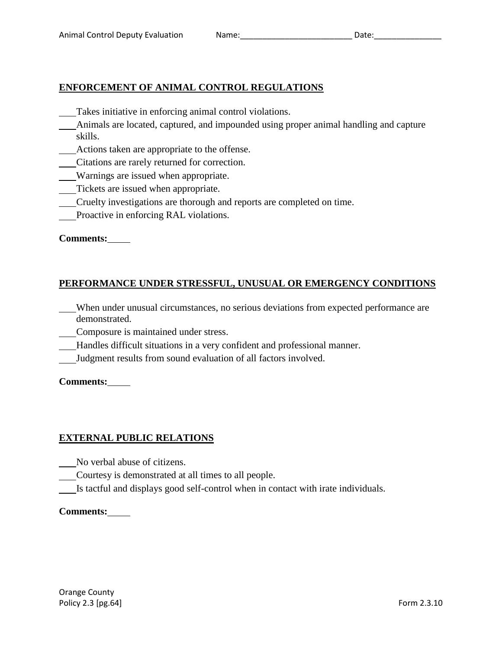## **ENFORCEMENT OF ANIMAL CONTROL REGULATIONS**

- Takes initiative in enforcing animal control violations.
- Animals are located, captured, and impounded using proper animal handling and capture skills.
- Actions taken are appropriate to the offense.
- Citations are rarely returned for correction.
- Warnings are issued when appropriate.
- Tickets are issued when appropriate.
- Cruelty investigations are thorough and reports are completed on time.
- Proactive in enforcing RAL violations.

**Comments:**

## **PERFORMANCE UNDER STRESSFUL, UNUSUAL OR EMERGENCY CONDITIONS**

- When under unusual circumstances, no serious deviations from expected performance are demonstrated.
- Composure is maintained under stress.
- Handles difficult situations in a very confident and professional manner.
- Judgment results from sound evaluation of all factors involved.

#### **Comments:**

## **EXTERNAL PUBLIC RELATIONS**

- No verbal abuse of citizens.
- Courtesy is demonstrated at all times to all people.
- Is tactful and displays good self-control when in contact with irate individuals.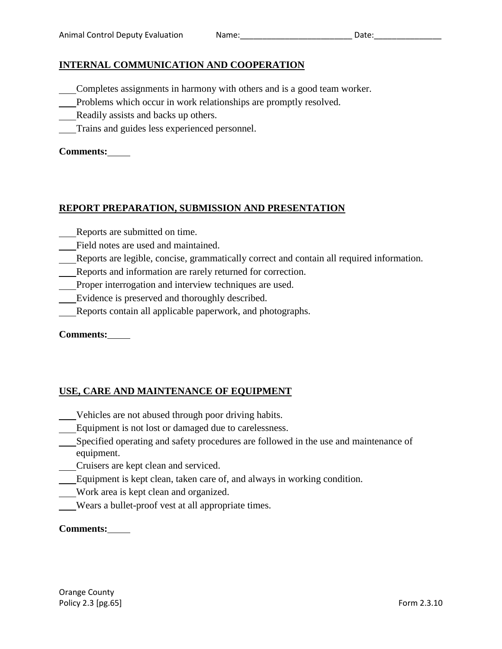## **INTERNAL COMMUNICATION AND COOPERATION**

- Completes assignments in harmony with others and is a good team worker.
- Problems which occur in work relationships are promptly resolved.
- Readily assists and backs up others.
- Trains and guides less experienced personnel.

## **Comments:**

## **REPORT PREPARATION, SUBMISSION AND PRESENTATION**

- Reports are submitted on time.
- Field notes are used and maintained.
- Reports are legible, concise, grammatically correct and contain all required information.
- Reports and information are rarely returned for correction.
- Proper interrogation and interview techniques are used.
- Evidence is preserved and thoroughly described.
- Reports contain all applicable paperwork, and photographs.

#### **Comments:**

## **USE, CARE AND MAINTENANCE OF EQUIPMENT**

- Vehicles are not abused through poor driving habits.
- Equipment is not lost or damaged due to carelessness.
- Specified operating and safety procedures are followed in the use and maintenance of equipment.
- Cruisers are kept clean and serviced.
- Equipment is kept clean, taken care of, and always in working condition.
- Work area is kept clean and organized.
- Wears a bullet-proof vest at all appropriate times.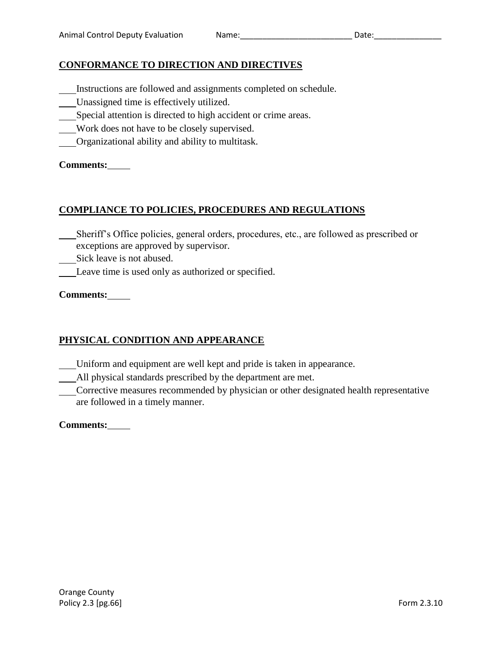## **CONFORMANCE TO DIRECTION AND DIRECTIVES**

- Instructions are followed and assignments completed on schedule.
- Unassigned time is effectively utilized.
- Special attention is directed to high accident or crime areas.
- Work does not have to be closely supervised.
- Organizational ability and ability to multitask.

#### **Comments:**

## **COMPLIANCE TO POLICIES, PROCEDURES AND REGULATIONS**

- Sheriff's Office policies, general orders, procedures, etc., are followed as prescribed or exceptions are approved by supervisor.
- Sick leave is not abused.
- Leave time is used only as authorized or specified.

#### **Comments:**

## **PHYSICAL CONDITION AND APPEARANCE**

- Uniform and equipment are well kept and pride is taken in appearance.
- All physical standards prescribed by the department are met.
- Corrective measures recommended by physician or other designated health representative are followed in a timely manner.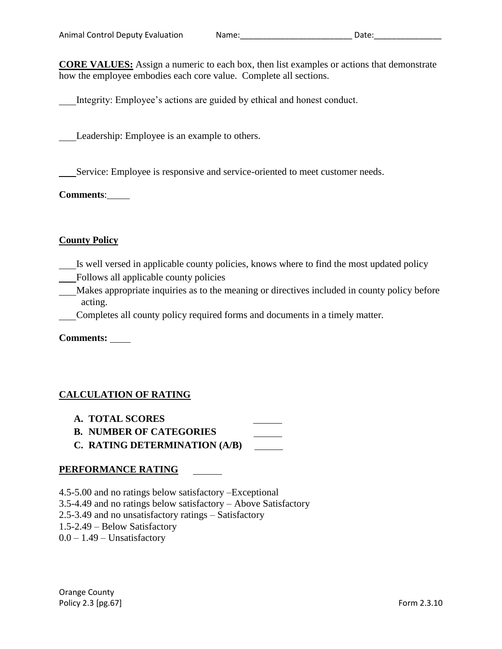**CORE VALUES:** Assign a numeric to each box, then list examples or actions that demonstrate how the employee embodies each core value. Complete all sections.

Integrity: Employee's actions are guided by ethical and honest conduct.

Leadership: Employee is an example to others.

Service: Employee is responsive and service-oriented to meet customer needs.

**Comments**:

#### **County Policy**

- Is well versed in applicable county policies, knows where to find the most updated policy
- Follows all applicable county policies
- Makes appropriate inquiries as to the meaning or directives included in county policy before acting.
- Completes all county policy required forms and documents in a timely matter.

**Comments:** 

## **CALCULATION OF RATING**

- **A. TOTAL SCORES**
- **B. NUMBER OF CATEGORIES**
- **C. RATING DETERMINATION (A/B)**

#### **PERFORMANCE RATING**

4.5-5.00 and no ratings below satisfactory –Exceptional

3.5-4.49 and no ratings below satisfactory – Above Satisfactory

2.5-3.49 and no unsatisfactory ratings – Satisfactory

1.5-2.49 – Below Satisfactory

 $0.0 - 1.49$  – Unsatisfactory